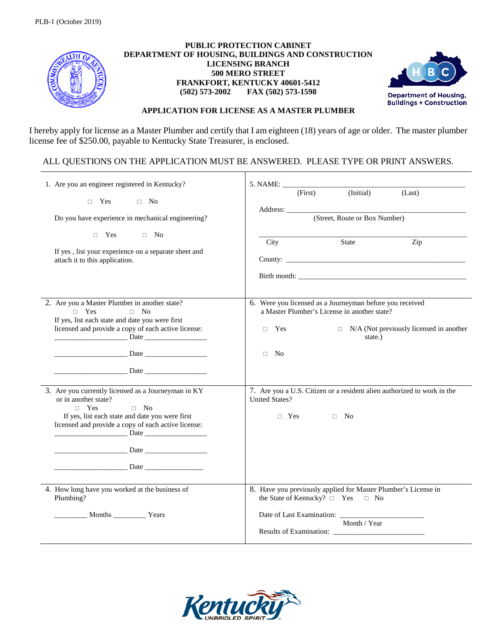

## **PUBLIC PROTECTION CABINET DEPARTMENT OF HOUSING, BUILDINGS AND CONSTRUCTION LICENSING BRANCH 500 MERO STREET FRANKFORT, KENTUCKY 40601-5412 (502) 573-2002 FAX (502) 573-1598**



## **APPLICATION FOR LICENSE AS A MASTER PLUMBER**

I hereby apply for license as a Master Plumber and certify that I am eighteen (18) years of age or older. The master plumber license fee of \$250.00, payable to Kentucky State Treasurer, is enclosed.

## ALL QUESTIONS ON THE APPLICATION MUST BE ANSWERED. PLEASE TYPE OR PRINT ANSWERS.

| 1. Are you an engineer registered in Kentucky?                                                                                                                                                                                                                                                                                                                                                                                                                                    | 5. NAME:                                                                                                                                                                                                                                                                                          |
|-----------------------------------------------------------------------------------------------------------------------------------------------------------------------------------------------------------------------------------------------------------------------------------------------------------------------------------------------------------------------------------------------------------------------------------------------------------------------------------|---------------------------------------------------------------------------------------------------------------------------------------------------------------------------------------------------------------------------------------------------------------------------------------------------|
| $\Box$ Yes $\Box$ No<br>Do you have experience in mechanical engineering?                                                                                                                                                                                                                                                                                                                                                                                                         | (Initial)<br>(First)<br>(Last)<br>Address: No. 1996. The Committee of the Committee of the Committee of the Committee of the Committee of the Committee of the Committee of the Committee of the Committee of the Committee of the Committee of the Committee of<br>(Street, Route or Box Number) |
| $\Box$ Yes<br>$\Box$ No<br>If yes, list your experience on a separate sheet and<br>attach it to this application.                                                                                                                                                                                                                                                                                                                                                                 | City<br>State<br>Zip                                                                                                                                                                                                                                                                              |
| 2. Are you a Master Plumber in another state?<br>$\Box$ Yes<br>$\Box$ No<br>If yes, list each state and date you were first<br>licensed and provide a copy of each active license:                                                                                                                                                                                                                                                                                                | 6. Were you licensed as a Journeyman before you received<br>a Master Plumber's License in another state?<br>$\Box$ N/A (Not previously licensed in another<br>$\Box$ Yes<br>state.)<br>$\Box$ No                                                                                                  |
| 3. Are you currently licensed as a Journeyman in KY<br>or in another state?<br>$\neg$ Yes<br>$\Box$ No<br>If yes, list each state and date you were first<br>licensed and provide a copy of each active license:<br><u>Date</u> and the Date of the Date of the Second Second Second Second Second Second Second Second Second Second Second Second Second Second Second Second Second Second Second Second Second Second Second Second Second Second S<br><b>Example 12</b> Date | 7. Are you a U.S. Citizen or a resident alien authorized to work in the<br><b>United States?</b><br>$\Box$ Yes $\Box$ No                                                                                                                                                                          |
| 4. How long have you worked at the business of<br>Plumbing?<br>Months Vears                                                                                                                                                                                                                                                                                                                                                                                                       | 8. Have you previously applied for Master Plumber's License in<br>the State of Kentucky? $\Box$ Yes $\Box$ No<br>Month / Year                                                                                                                                                                     |